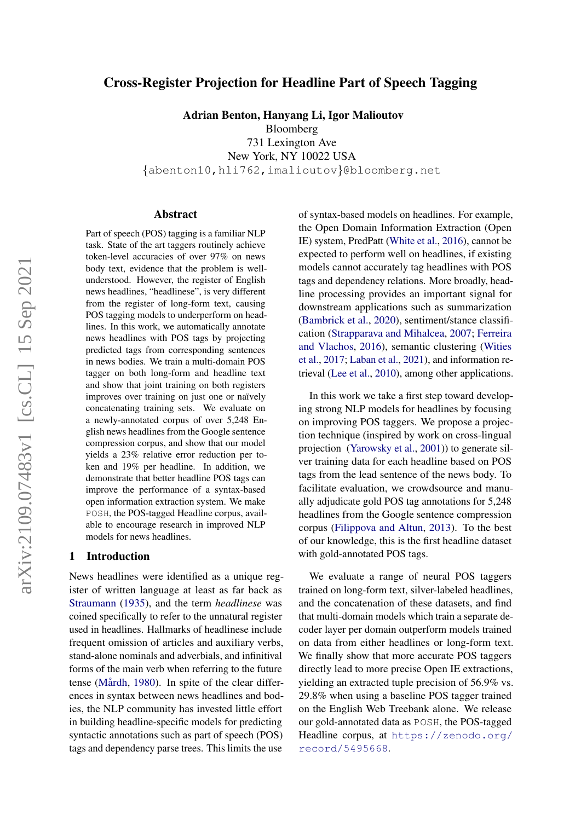# Cross-Register Projection for Headline Part of Speech Tagging

Adrian Benton, Hanyang Li, Igor Malioutov

Bloomberg 731 Lexington Ave New York, NY 10022 USA {abenton10,hli762,imalioutov}@bloomberg.net

#### Abstract

Part of speech (POS) tagging is a familiar NLP task. State of the art taggers routinely achieve token-level accuracies of over 97% on news body text, evidence that the problem is wellunderstood. However, the register of English news headlines, "headlinese", is very different from the register of long-form text, causing POS tagging models to underperform on headlines. In this work, we automatically annotate news headlines with POS tags by projecting predicted tags from corresponding sentences in news bodies. We train a multi-domain POS tagger on both long-form and headline text and show that joint training on both registers improves over training on just one or naïvely concatenating training sets. We evaluate on a newly-annotated corpus of over 5,248 English news headlines from the Google sentence compression corpus, and show that our model yields a 23% relative error reduction per token and 19% per headline. In addition, we demonstrate that better headline POS tags can improve the performance of a syntax-based open information extraction system. We make POSH, the POS-tagged Headline corpus, available to encourage research in improved NLP models for news headlines.

### 1 Introduction

News headlines were identified as a unique register of written language at least as far back as [Straumann](#page-11-0) [\(1935\)](#page-11-0), and the term *headlinese* was coined specifically to refer to the unnatural register used in headlines. Hallmarks of headlinese include frequent omission of articles and auxiliary verbs, stand-alone nominals and adverbials, and infinitival forms of the main verb when referring to the future tense (Mårdh, [1980\)](#page-10-0). In spite of the clear differences in syntax between news headlines and bodies, the NLP community has invested little effort in building headline-specific models for predicting syntactic annotations such as part of speech (POS) tags and dependency parse trees. This limits the use

of syntax-based models on headlines. For example, the Open Domain Information Extraction (Open IE) system, PredPatt [\(White et al.,](#page-11-1) [2016\)](#page-11-1), cannot be expected to perform well on headlines, if existing models cannot accurately tag headlines with POS tags and dependency relations. More broadly, headline processing provides an important signal for downstream applications such as summarization [\(Bambrick et al.,](#page-9-0) [2020\)](#page-9-0), sentiment/stance classification [\(Strapparava and Mihalcea,](#page-11-2) [2007;](#page-11-2) [Ferreira](#page-9-1) [and Vlachos,](#page-9-1) [2016\)](#page-9-1), semantic clustering [\(Wities](#page-11-3) [et al.,](#page-11-3) [2017;](#page-11-3) [Laban et al.,](#page-9-2) [2021\)](#page-9-2), and information retrieval [\(Lee et al.,](#page-10-1) [2010\)](#page-10-1), among other applications.

In this work we take a first step toward developing strong NLP models for headlines by focusing on improving POS taggers. We propose a projection technique (inspired by work on cross-lingual projection [\(Yarowsky et al.,](#page-11-4) [2001\)](#page-11-4)) to generate silver training data for each headline based on POS tags from the lead sentence of the news body. To facilitate evaluation, we crowdsource and manually adjudicate gold POS tag annotations for 5,248 headlines from the Google sentence compression corpus [\(Filippova and Altun,](#page-9-3) [2013\)](#page-9-3). To the best of our knowledge, this is the first headline dataset with gold-annotated POS tags.

We evaluate a range of neural POS taggers trained on long-form text, silver-labeled headlines, and the concatenation of these datasets, and find that multi-domain models which train a separate decoder layer per domain outperform models trained on data from either headlines or long-form text. We finally show that more accurate POS taggers directly lead to more precise Open IE extractions, yielding an extracted tuple precision of 56.9% vs. 29.8% when using a baseline POS tagger trained on the English Web Treebank alone. We release our gold-annotated data as POSH, the POS-tagged Headline corpus, at [https://zenodo.org/](https://zenodo.org/record/5495668) [record/5495668](https://zenodo.org/record/5495668).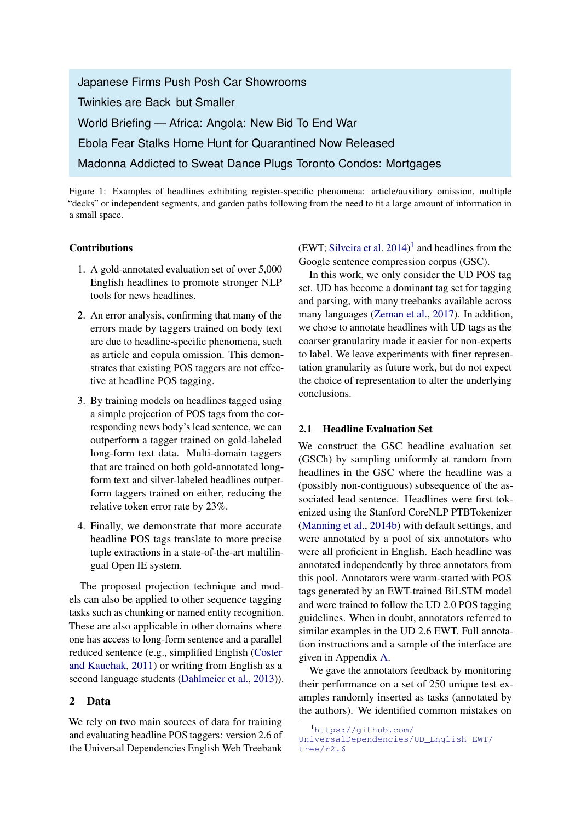Japanese Firms Push Posh Car Showrooms Twinkies are Back but Smaller World Briefing — Africa: Angola: New Bid To End War Ebola Fear Stalks Home Hunt for Quarantined Now Released Madonna Addicted to Sweat Dance Plugs Toronto Condos: Mortgages

Figure 1: Examples of headlines exhibiting register-specific phenomena: article/auxiliary omission, multiple "decks" or independent segments, and garden paths following from the need to fit a large amount of information in a small space.

#### Contributions

- 1. A gold-annotated evaluation set of over 5,000 English headlines to promote stronger NLP tools for news headlines.
- 2. An error analysis, confirming that many of the errors made by taggers trained on body text are due to headline-specific phenomena, such as article and copula omission. This demonstrates that existing POS taggers are not effective at headline POS tagging.
- 3. By training models on headlines tagged using a simple projection of POS tags from the corresponding news body's lead sentence, we can outperform a tagger trained on gold-labeled long-form text data. Multi-domain taggers that are trained on both gold-annotated longform text and silver-labeled headlines outperform taggers trained on either, reducing the relative token error rate by 23%.
- 4. Finally, we demonstrate that more accurate headline POS tags translate to more precise tuple extractions in a state-of-the-art multilingual Open IE system.

The proposed projection technique and models can also be applied to other sequence tagging tasks such as chunking or named entity recognition. These are also applicable in other domains where one has access to long-form sentence and a parallel reduced sentence (e.g., simplified English [\(Coster](#page-9-4) [and Kauchak,](#page-9-4) [2011\)](#page-9-4) or writing from English as a second language students [\(Dahlmeier et al.,](#page-9-5) [2013\)](#page-9-5)).

## 2 Data

We rely on two main sources of data for training and evaluating headline POS taggers: version 2.6 of the Universal Dependencies English Web Treebank

(EWT; [Silveira et al.](#page-10-2)  $2014$  $2014$  $2014$ )<sup>1</sup> and headlines from the Google sentence compression corpus (GSC).

In this work, we only consider the UD POS tag set. UD has become a dominant tag set for tagging and parsing, with many treebanks available across many languages [\(Zeman et al.,](#page-11-5) [2017\)](#page-11-5). In addition, we chose to annotate headlines with UD tags as the coarser granularity made it easier for non-experts to label. We leave experiments with finer representation granularity as future work, but do not expect the choice of representation to alter the underlying conclusions.

#### 2.1 Headline Evaluation Set

We construct the GSC headline evaluation set (GSCh) by sampling uniformly at random from headlines in the GSC where the headline was a (possibly non-contiguous) subsequence of the associated lead sentence. Headlines were first tokenized using the Stanford CoreNLP PTBTokenizer [\(Manning et al.,](#page-10-3) [2014b\)](#page-10-3) with default settings, and were annotated by a pool of six annotators who were all proficient in English. Each headline was annotated independently by three annotators from this pool. Annotators were warm-started with POS tags generated by an EWT-trained BiLSTM model and were trained to follow the UD 2.0 POS tagging guidelines. When in doubt, annotators referred to similar examples in the UD 2.6 EWT. Full annotation instructions and a sample of the interface are given in Appendix [A.](#page-12-0)

We gave the annotators feedback by monitoring their performance on a set of 250 unique test examples randomly inserted as tasks (annotated by the authors). We identified common mistakes on

<span id="page-1-0"></span><sup>1</sup>[https://github.com/](https://github.com/UniversalDependencies/UD_English-EWT/tree/r2.6)

[UniversalDependencies/UD\\_English-EWT/](https://github.com/UniversalDependencies/UD_English-EWT/tree/r2.6)  $t$ ree/r2.6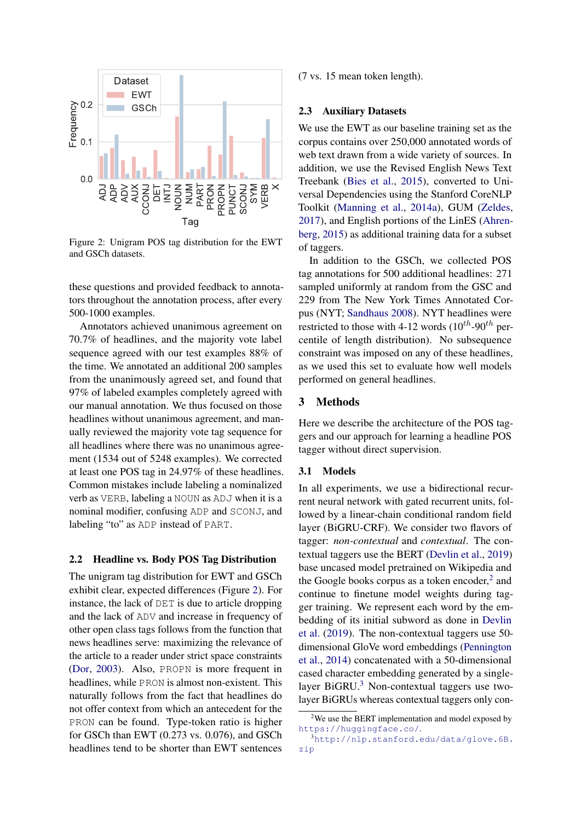<span id="page-2-0"></span>

Figure 2: Unigram POS tag distribution for the EWT and GSCh datasets.

these questions and provided feedback to annotators throughout the annotation process, after every 500-1000 examples.

Annotators achieved unanimous agreement on 70.7% of headlines, and the majority vote label sequence agreed with our test examples 88% of the time. We annotated an additional 200 samples from the unanimously agreed set, and found that 97% of labeled examples completely agreed with our manual annotation. We thus focused on those headlines without unanimous agreement, and manually reviewed the majority vote tag sequence for all headlines where there was no unanimous agreement (1534 out of 5248 examples). We corrected at least one POS tag in 24.97% of these headlines. Common mistakes include labeling a nominalized verb as VERB, labeling a NOUN as ADJ when it is a nominal modifier, confusing ADP and SCONJ, and labeling "to" as ADP instead of PART.

#### 2.2 Headline vs. Body POS Tag Distribution

The unigram tag distribution for EWT and GSCh exhibit clear, expected differences (Figure [2\)](#page-2-0). For instance, the lack of DET is due to article dropping and the lack of ADV and increase in frequency of other open class tags follows from the function that news headlines serve: maximizing the relevance of the article to a reader under strict space constraints [\(Dor,](#page-9-6) [2003\)](#page-9-6). Also, PROPN is more frequent in headlines, while PRON is almost non-existent. This naturally follows from the fact that headlines do not offer context from which an antecedent for the PRON can be found. Type-token ratio is higher for GSCh than EWT (0.273 vs. 0.076), and GSCh headlines tend to be shorter than EWT sentences

(7 vs. 15 mean token length).

#### <span id="page-2-3"></span>2.3 Auxiliary Datasets

We use the EWT as our baseline training set as the corpus contains over 250,000 annotated words of web text drawn from a wide variety of sources. In addition, we use the Revised English News Text Treebank [\(Bies et al.,](#page-9-7) [2015\)](#page-9-7), converted to Universal Dependencies using the Stanford CoreNLP Toolkit [\(Manning et al.,](#page-10-4) [2014a\)](#page-10-4), GUM [\(Zeldes,](#page-11-6) [2017\)](#page-11-6), and English portions of the LinES [\(Ahren](#page-8-0)[berg,](#page-8-0) [2015\)](#page-8-0) as additional training data for a subset of taggers.

In addition to the GSCh, we collected POS tag annotations for 500 additional headlines: 271 sampled uniformly at random from the GSC and 229 from The New York Times Annotated Corpus (NYT; [Sandhaus](#page-10-5) [2008\)](#page-10-5). NYT headlines were restricted to those with 4-12 words  $(10^{th}$ -90<sup>th</sup> percentile of length distribution). No subsequence constraint was imposed on any of these headlines, as we used this set to evaluate how well models performed on general headlines.

## 3 Methods

Here we describe the architecture of the POS taggers and our approach for learning a headline POS tagger without direct supervision.

#### 3.1 Models

In all experiments, we use a bidirectional recurrent neural network with gated recurrent units, followed by a linear-chain conditional random field layer (BiGRU-CRF). We consider two flavors of tagger: *non-contextual* and *contextual*. The contextual taggers use the BERT [\(Devlin et al.,](#page-9-8) [2019\)](#page-9-8) base uncased model pretrained on Wikipedia and the Google books corpus as a token encoder,<sup>[2](#page-2-1)</sup> and continue to finetune model weights during tagger training. We represent each word by the embedding of its initial subword as done in [Devlin](#page-9-8) [et al.](#page-9-8) [\(2019\)](#page-9-8). The non-contextual taggers use 50 dimensional GloVe word embeddings [\(Pennington](#page-10-6) [et al.,](#page-10-6) [2014\)](#page-10-6) concatenated with a 50-dimensional cased character embedding generated by a single-layer BiGRU.<sup>[3](#page-2-2)</sup> Non-contextual taggers use twolayer BiGRUs whereas contextual taggers only con-

<span id="page-2-1"></span><sup>&</sup>lt;sup>2</sup>We use the BERT implementation and model exposed by <https://huggingface.co/>.

<span id="page-2-2"></span> $^3$ [http://nlp.stanford.edu/data/glove.6B.](http://nlp.stanford.edu/data/glove.6B.zip) [zip](http://nlp.stanford.edu/data/glove.6B.zip)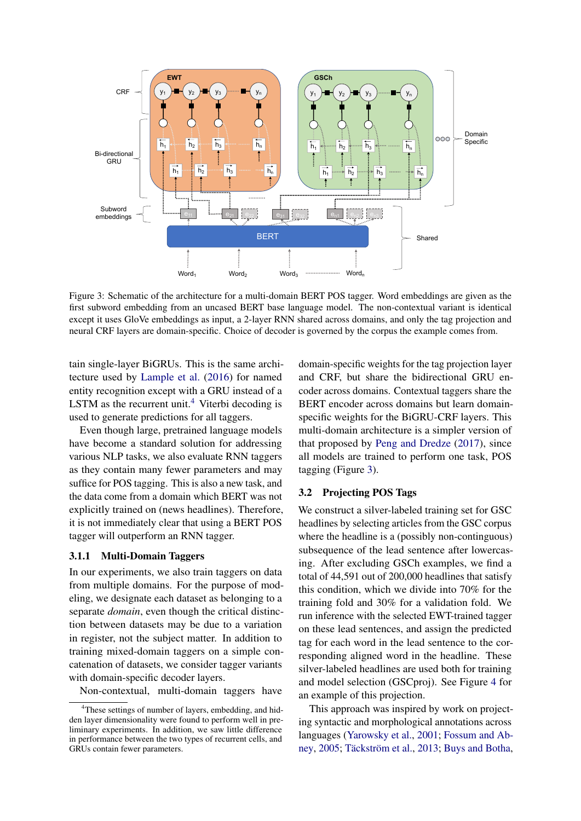<span id="page-3-1"></span>

Figure 3: Schematic of the architecture for a multi-domain BERT POS tagger. Word embeddings are given as the first subword embedding from an uncased BERT base language model. The non-contextual variant is identical except it uses GloVe embeddings as input, a 2-layer RNN shared across domains, and only the tag projection and neural CRF layers are domain-specific. Choice of decoder is governed by the corpus the example comes from.

tain single-layer BiGRUs. This is the same architecture used by [Lample et al.](#page-10-7) [\(2016\)](#page-10-7) for named entity recognition except with a GRU instead of a LSTM as the recurrent unit.<sup>[4](#page-3-0)</sup> Viterbi decoding is used to generate predictions for all taggers.

Even though large, pretrained language models have become a standard solution for addressing various NLP tasks, we also evaluate RNN taggers as they contain many fewer parameters and may suffice for POS tagging. This is also a new task, and the data come from a domain which BERT was not explicitly trained on (news headlines). Therefore, it is not immediately clear that using a BERT POS tagger will outperform an RNN tagger.

#### 3.1.1 Multi-Domain Taggers

In our experiments, we also train taggers on data from multiple domains. For the purpose of modeling, we designate each dataset as belonging to a separate *domain*, even though the critical distinction between datasets may be due to a variation in register, not the subject matter. In addition to training mixed-domain taggers on a simple concatenation of datasets, we consider tagger variants with domain-specific decoder layers.

Non-contextual, multi-domain taggers have

domain-specific weights for the tag projection layer and CRF, but share the bidirectional GRU encoder across domains. Contextual taggers share the BERT encoder across domains but learn domainspecific weights for the BiGRU-CRF layers. This multi-domain architecture is a simpler version of that proposed by [Peng and Dredze](#page-10-8) [\(2017\)](#page-10-8), since all models are trained to perform one task, POS tagging (Figure [3\)](#page-3-1).

#### 3.2 Projecting POS Tags

We construct a silver-labeled training set for GSC headlines by selecting articles from the GSC corpus where the headline is a (possibly non-continguous) subsequence of the lead sentence after lowercasing. After excluding GSCh examples, we find a total of 44,591 out of 200,000 headlines that satisfy this condition, which we divide into 70% for the training fold and 30% for a validation fold. We run inference with the selected EWT-trained tagger on these lead sentences, and assign the predicted tag for each word in the lead sentence to the corresponding aligned word in the headline. These silver-labeled headlines are used both for training and model selection (GSCproj). See Figure [4](#page-4-0) for an example of this projection.

This approach was inspired by work on projecting syntactic and morphological annotations across languages [\(Yarowsky et al.,](#page-11-4) [2001;](#page-11-4) [Fossum and Ab](#page-9-9)[ney,](#page-9-9) [2005;](#page-9-9) Täckström et al., [2013;](#page-11-7) [Buys and Botha,](#page-9-10)

<span id="page-3-0"></span><sup>&</sup>lt;sup>4</sup>These settings of number of layers, embedding, and hidden layer dimensionality were found to perform well in preliminary experiments. In addition, we saw little difference in performance between the two types of recurrent cells, and GRUs contain fewer parameters.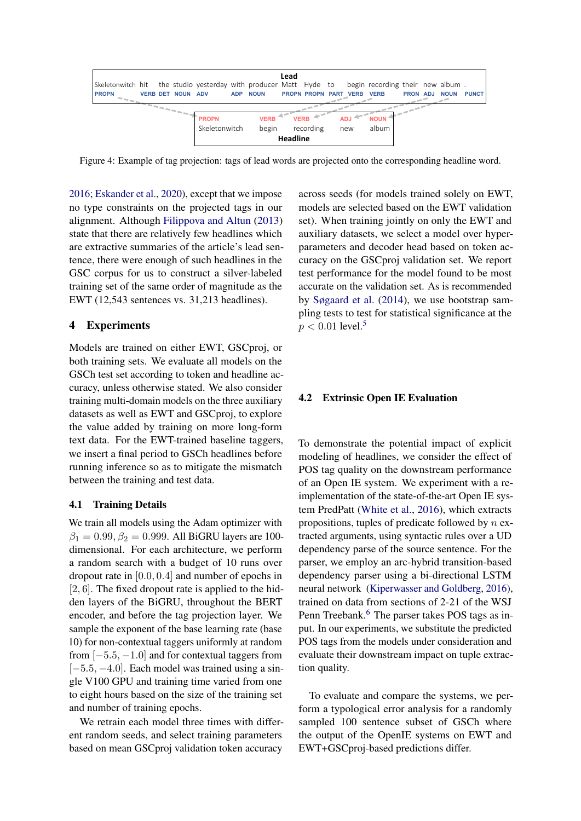<span id="page-4-0"></span>

Figure 4: Example of tag projection: tags of lead words are projected onto the corresponding headline word.

[2016;](#page-9-10) [Eskander et al.,](#page-9-11) [2020\)](#page-9-11), except that we impose no type constraints on the projected tags in our alignment. Although [Filippova and Altun](#page-9-3) [\(2013\)](#page-9-3) state that there are relatively few headlines which are extractive summaries of the article's lead sentence, there were enough of such headlines in the GSC corpus for us to construct a silver-labeled training set of the same order of magnitude as the EWT (12,543 sentences vs. 31,213 headlines).

## 4 Experiments

Models are trained on either EWT, GSCproj, or both training sets. We evaluate all models on the GSCh test set according to token and headline accuracy, unless otherwise stated. We also consider training multi-domain models on the three auxiliary datasets as well as EWT and GSCproj, to explore the value added by training on more long-form text data. For the EWT-trained baseline taggers, we insert a final period to GSCh headlines before running inference so as to mitigate the mismatch between the training and test data.

### 4.1 Training Details

We train all models using the Adam optimizer with  $\beta_1 = 0.99, \beta_2 = 0.999$ . All BiGRU layers are 100dimensional. For each architecture, we perform a random search with a budget of 10 runs over dropout rate in [0.0, 0.4] and number of epochs in  $[2, 6]$ . The fixed dropout rate is applied to the hidden layers of the BiGRU, throughout the BERT encoder, and before the tag projection layer. We sample the exponent of the base learning rate (base 10) for non-contextual taggers uniformly at random from  $[-5.5, -1.0]$  and for contextual taggers from  $[-5.5, -4.0]$ . Each model was trained using a single V100 GPU and training time varied from one to eight hours based on the size of the training set and number of training epochs.

We retrain each model three times with different random seeds, and select training parameters based on mean GSCproj validation token accuracy

across seeds (for models trained solely on EWT, models are selected based on the EWT validation set). When training jointly on only the EWT and auxiliary datasets, we select a model over hyperparameters and decoder head based on token accuracy on the GSCproj validation set. We report test performance for the model found to be most accurate on the validation set. As is recommended by [Søgaard et al.](#page-11-8) [\(2014\)](#page-11-8), we use bootstrap sampling tests to test for statistical significance at the  $p < 0.01$  level.<sup>[5](#page-5-0)</sup>

#### 4.2 Extrinsic Open IE Evaluation

To demonstrate the potential impact of explicit modeling of headlines, we consider the effect of POS tag quality on the downstream performance of an Open IE system. We experiment with a reimplementation of the state-of-the-art Open IE system PredPatt [\(White et al.,](#page-11-1) [2016\)](#page-11-1), which extracts propositions, tuples of predicate followed by  $n$  extracted arguments, using syntactic rules over a UD dependency parse of the source sentence. For the parser, we employ an arc-hybrid transition-based dependency parser using a bi-directional LSTM neural network [\(Kiperwasser and Goldberg,](#page-9-12) [2016\)](#page-9-12), trained on data from sections of 2-21 of the WSJ Penn Treebank.<sup>[6](#page-5-1)</sup> The parser takes POS tags as input. In our experiments, we substitute the predicted POS tags from the models under consideration and evaluate their downstream impact on tuple extraction quality.

To evaluate and compare the systems, we perform a typological error analysis for a randomly sampled 100 sentence subset of GSCh where the output of the OpenIE systems on EWT and EWT+GSCproj-based predictions differ.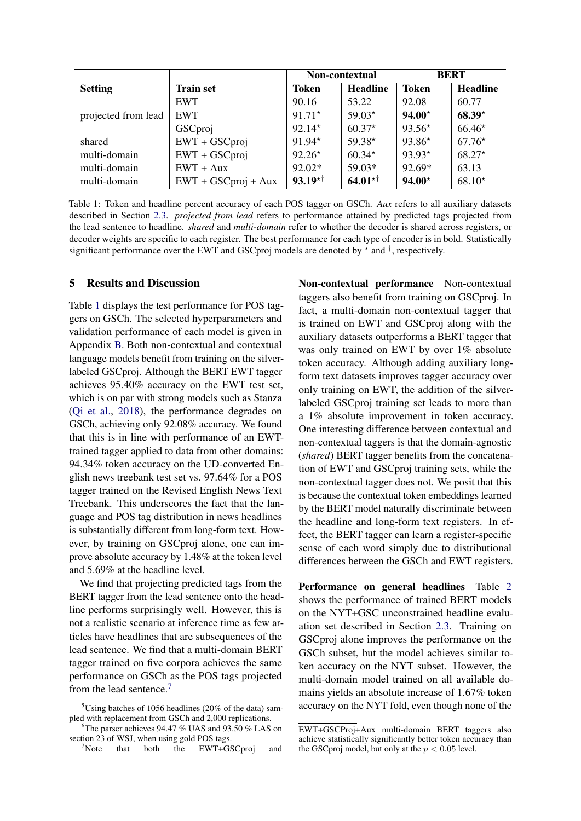<span id="page-5-2"></span>

|                     |                       | Non-contextual |                 | <b>BERT</b>  |                 |
|---------------------|-----------------------|----------------|-----------------|--------------|-----------------|
| <b>Setting</b>      | Train set             | Token          | <b>Headline</b> | <b>Token</b> | <b>Headline</b> |
|                     | <b>EWT</b>            | 90.16          | 53.22           | 92.08        | 60.77           |
| projected from lead | <b>EWT</b>            | $91.71*$       | $59.03*$        | $94.00*$     | $68.39*$        |
|                     | GSCproj               | $92.14*$       | $60.37*$        | $93.56*$     | $66.46*$        |
| shared              | $EWT + GSCproj$       | $91.94*$       | $59.38*$        | $93.86*$     | $67.76*$        |
| multi-domain        | $EWT + GSCproj$       | $92.26*$       | $60.34*$        | $93.93*$     | $68.27*$        |
| multi-domain        | $EWT + Aux$           | 92.02*         | $59.03*$        | 92.69*       | 63.13           |
| multi-domain        | $EWT + GSCproj + Aux$ | $93.19^{+1}$   | $64.01^{*†}$    | $94.00*$     | $68.10*$        |

Table 1: Token and headline percent accuracy of each POS tagger on GSCh. *Aux* refers to all auxiliary datasets described in Section [2.3.](#page-2-3) *projected from lead* refers to performance attained by predicted tags projected from the lead sentence to headline. *shared* and *multi-domain* refer to whether the decoder is shared across registers, or decoder weights are specific to each register. The best performance for each type of encoder is in bold. Statistically significant performance over the EWT and GSCproj models are denoted by  $\star$  and  $\dagger$ , respectively.

## 5 Results and Discussion

Table [1](#page-5-2) displays the test performance for POS taggers on GSCh. The selected hyperparameters and validation performance of each model is given in Appendix [B.](#page-14-0) Both non-contextual and contextual language models benefit from training on the silverlabeled GSCproj. Although the BERT EWT tagger achieves 95.40% accuracy on the EWT test set, which is on par with strong models such as Stanza [\(Qi et al.,](#page-10-9) [2018\)](#page-10-9), the performance degrades on GSCh, achieving only 92.08% accuracy. We found that this is in line with performance of an EWTtrained tagger applied to data from other domains: 94.34% token accuracy on the UD-converted English news treebank test set vs. 97.64% for a POS tagger trained on the Revised English News Text Treebank. This underscores the fact that the language and POS tag distribution in news headlines is substantially different from long-form text. However, by training on GSCproj alone, one can improve absolute accuracy by 1.48% at the token level and 5.69% at the headline level.

We find that projecting predicted tags from the BERT tagger from the lead sentence onto the headline performs surprisingly well. However, this is not a realistic scenario at inference time as few articles have headlines that are subsequences of the lead sentence. We find that a multi-domain BERT tagger trained on five corpora achieves the same performance on GSCh as the POS tags projected from the lead sentence.<sup>[7](#page-5-3)</sup>

Non-contextual performance Non-contextual taggers also benefit from training on GSCproj. In fact, a multi-domain non-contextual tagger that is trained on EWT and GSCproj along with the auxiliary datasets outperforms a BERT tagger that was only trained on EWT by over 1% absolute token accuracy. Although adding auxiliary longform text datasets improves tagger accuracy over only training on EWT, the addition of the silverlabeled GSCproj training set leads to more than a 1% absolute improvement in token accuracy. One interesting difference between contextual and non-contextual taggers is that the domain-agnostic (*shared*) BERT tagger benefits from the concatenation of EWT and GSCproj training sets, while the non-contextual tagger does not. We posit that this is because the contextual token embeddings learned by the BERT model naturally discriminate between the headline and long-form text registers. In effect, the BERT tagger can learn a register-specific sense of each word simply due to distributional differences between the GSCh and EWT registers.

Performance on general headlines Table [2](#page-6-0) shows the performance of trained BERT models on the NYT+GSC unconstrained headline evaluation set described in Section [2.3.](#page-2-3) Training on GSCproj alone improves the performance on the GSCh subset, but the model achieves similar token accuracy on the NYT subset. However, the multi-domain model trained on all available domains yields an absolute increase of 1.67% token accuracy on the NYT fold, even though none of the

<span id="page-5-0"></span><sup>&</sup>lt;sup>5</sup>Using batches of 1056 headlines (20% of the data) sampled with replacement from GSCh and 2,000 replications.

<span id="page-5-1"></span> ${}^{6}$ The parser achieves 94.47 % UAS and 93.50 % LAS on section 23 of WSJ, when using gold POS tags.<br>  $\frac{7}{1}$ Note that both the EWT+GS

<span id="page-5-3"></span>that both the EWT+GSCproj and

EWT+GSCProj+Aux multi-domain BERT taggers also achieve statistically significantly better token accuracy than the GSCproj model, but only at the  $p < 0.05$  level.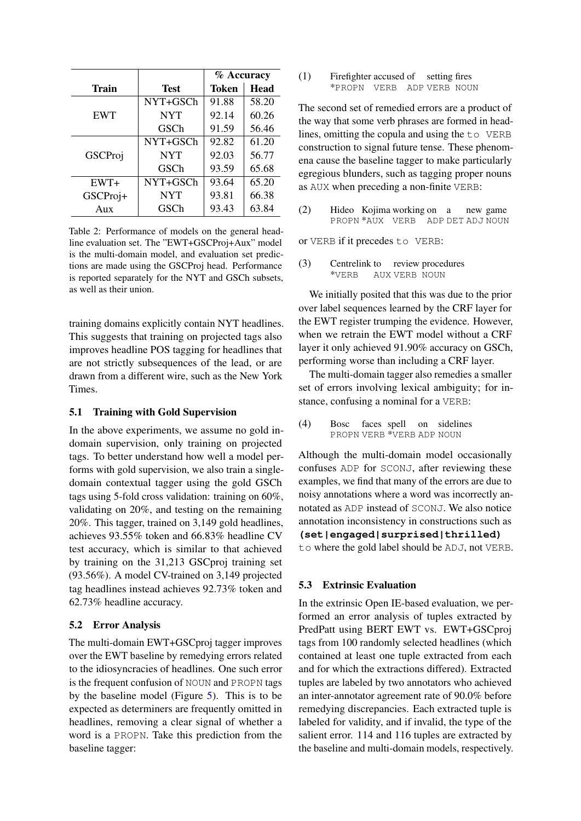<span id="page-6-0"></span>

|                  |             | % Accuracy   |             |  |
|------------------|-------------|--------------|-------------|--|
| <b>Train</b>     | <b>Test</b> | <b>Token</b> | <b>Head</b> |  |
|                  | NYT+GSCh    | 91.88        | 58.20       |  |
| <b>EWT</b>       | <b>NYT</b>  | 92.14        | 60.26       |  |
|                  | GSCh        | 91.59        | 56.46       |  |
|                  | NYT+GSCh    | 92.82        | 61.20       |  |
| GSCProj          | <b>NYT</b>  | 92.03        | 56.77       |  |
|                  | GSCh        | 93.59        | 65.68       |  |
| EWT+             | NYT+GSCh    | 93.64        | 65.20       |  |
| GSCProj+         | <b>NYT</b>  | 93.81        | 66.38       |  |
| A <sub>11X</sub> | GSCh        | 93.43        | 63.84       |  |

Table 2: Performance of models on the general headline evaluation set. The "EWT+GSCProj+Aux" model is the multi-domain model, and evaluation set predictions are made using the GSCProj head. Performance is reported separately for the NYT and GSCh subsets, as well as their union.

training domains explicitly contain NYT headlines. This suggests that training on projected tags also improves headline POS tagging for headlines that are not strictly subsequences of the lead, or are drawn from a different wire, such as the New York Times.

### 5.1 Training with Gold Supervision

In the above experiments, we assume no gold indomain supervision, only training on projected tags. To better understand how well a model performs with gold supervision, we also train a singledomain contextual tagger using the gold GSCh tags using 5-fold cross validation: training on 60%, validating on 20%, and testing on the remaining 20%. This tagger, trained on 3,149 gold headlines, achieves 93.55% token and 66.83% headline CV test accuracy, which is similar to that achieved by training on the 31,213 GSCproj training set (93.56%). A model CV-trained on 3,149 projected tag headlines instead achieves 92.73% token and 62.73% headline accuracy.

### 5.2 Error Analysis

The multi-domain EWT+GSCproj tagger improves over the EWT baseline by remedying errors related to the idiosyncracies of headlines. One such error is the frequent confusion of NOUN and PROPN tags by the baseline model (Figure [5\)](#page-7-0). This is to be expected as determiners are frequently omitted in headlines, removing a clear signal of whether a word is a PROPN. Take this prediction from the baseline tagger:

#### (1) Firefighter accused of setting fires \*PROPN VERB ADP VERB NOUN

The second set of remedied errors are a product of the way that some verb phrases are formed in headlines, omitting the copula and using the to VERB construction to signal future tense. These phenomena cause the baseline tagger to make particularly egregious blunders, such as tagging proper nouns as AUX when preceding a non-finite VERB:

(2) Hideo Kojima working on a PROPN \*AUX VERB ADP DET ADJ NOUN new game

or VERB if it precedes to VERB:

(3) Centrelink to \*VERB AUX VERB NOUN review procedures

We initially posited that this was due to the prior over label sequences learned by the CRF layer for the EWT register trumping the evidence. However, when we retrain the EWT model without a CRF layer it only achieved 91.90% accuracy on GSCh, performing worse than including a CRF layer.

The multi-domain tagger also remedies a smaller set of errors involving lexical ambiguity; for instance, confusing a nominal for a VERB:

(4) Bosc PROPN VERB \*VERB ADP NOUN faces spell on sidelines

Although the multi-domain model occasionally confuses ADP for SCONJ, after reviewing these examples, we find that many of the errors are due to noisy annotations where a word was incorrectly annotated as ADP instead of SCONJ. We also notice annotation inconsistency in constructions such as **(set|engaged|surprised|thrilled)**

to where the gold label should be ADJ, not VERB.

## 5.3 Extrinsic Evaluation

In the extrinsic Open IE-based evaluation, we performed an error analysis of tuples extracted by PredPatt using BERT EWT vs. EWT+GSCproj tags from 100 randomly selected headlines (which contained at least one tuple extracted from each and for which the extractions differed). Extracted tuples are labeled by two annotators who achieved an inter-annotator agreement rate of 90.0% before remedying discrepancies. Each extracted tuple is labeled for validity, and if invalid, the type of the salient error. 114 and 116 tuples are extracted by the baseline and multi-domain models, respectively.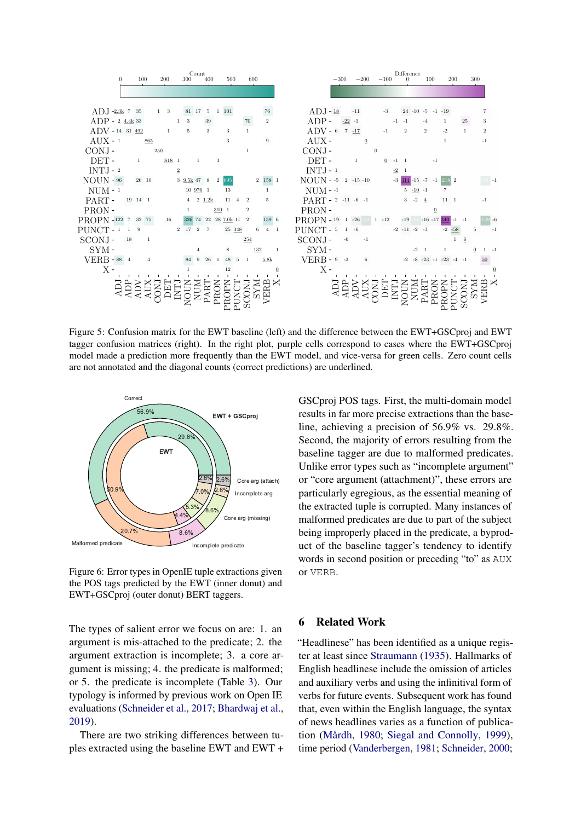<span id="page-7-0"></span>

Figure 5: Confusion matrix for the EWT baseline (left) and the difference between the EWT+GSCproj and EWT tagger confusion matrices (right). In the right plot, purple cells correspond to cases where the EWT+GSCproj model made a prediction more frequently than the EWT model, and vice-versa for green cells. Zero count cells are not annotated and the diagonal counts (correct predictions) are underlined.



Figure 6: Error types in OpenIE tuple extractions given the POS tags predicted by the EWT (inner donut) and EWT+GSCproj (outer donut) BERT taggers.

The types of salient error we focus on are: 1. an argument is mis-attached to the predicate; 2. the argument extraction is incomplete; 3. a core argument is missing; 4. the predicate is malformed; or 5. the predicate is incomplete (Table [3\)](#page-8-1). Our typology is informed by previous work on Open IE evaluations [\(Schneider et al.,](#page-10-10) [2017;](#page-10-10) [Bhardwaj et al.,](#page-9-13) [2019\)](#page-9-13).

There are two striking differences between tuples extracted using the baseline EWT and EWT + GSCproj POS tags. First, the multi-domain model results in far more precise extractions than the baseline, achieving a precision of 56.9% vs. 29.8%. Second, the majority of errors resulting from the baseline tagger are due to malformed predicates. Unlike error types such as "incomplete argument" or "core argument (attachment)", these errors are particularly egregious, as the essential meaning of the extracted tuple is corrupted. Many instances of malformed predicates are due to part of the subject being improperly placed in the predicate, a byproduct of the baseline tagger's tendency to identify words in second position or preceding "to" as AUX or VERB.

## 6 Related Work

"Headlinese" has been identified as a unique register at least since [Straumann](#page-11-0) [\(1935\)](#page-11-0). Hallmarks of English headlinese include the omission of articles and auxiliary verbs and using the infinitival form of verbs for future events. Subsequent work has found that, even within the English language, the syntax of news headlines varies as a function of publica-tion (Mårdh, [1980;](#page-10-0) [Siegal and Connolly,](#page-10-11) [1999\)](#page-10-11), time period [\(Vanderbergen,](#page-11-9) [1981;](#page-11-9) [Schneider,](#page-10-12) [2000;](#page-10-12)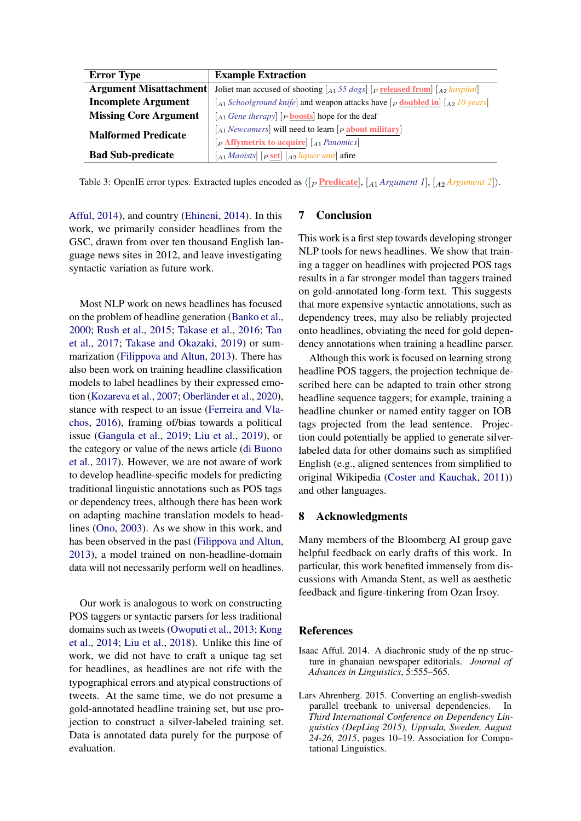<span id="page-8-1"></span>

| <b>Error Type</b>             | <b>Example Extraction</b>                                                                                                                                                                                      |  |  |
|-------------------------------|----------------------------------------------------------------------------------------------------------------------------------------------------------------------------------------------------------------|--|--|
| <b>Argument Misattachment</b> | Joliet man accused of shooting $\begin{bmatrix} A_1 \\ 5 \\ 5 \\ dOgs \end{bmatrix}$ [ <i>P</i> <b>released from</b> ] $\begin{bmatrix} A_2 \\ A_3 \\ B_4 \end{bmatrix}$                                       |  |  |
| <b>Incomplete Argument</b>    | $\begin{bmatrix} A_1 \ Schoolground \ knifel \end{bmatrix}$ and weapon attacks have $\begin{bmatrix} P \ \mathbf{doubled} \ \mathbf{in} \end{bmatrix} \begin{bmatrix} A_2 \ I0 \ \mathbf{years} \end{bmatrix}$ |  |  |
| <b>Missing Core Argument</b>  | $\begin{bmatrix} A_1 \text{ } \text{Gene} \text{ } \text{therapy} \end{bmatrix}$ [p <b>boosts</b> ] hope for the deaf                                                                                          |  |  |
| <b>Malformed Predicate</b>    | $\begin{bmatrix} A_1 \end{bmatrix}$ <i>Newcomers</i> will need to learn $\begin{bmatrix} P \end{bmatrix}$ <b>about military</b>                                                                                |  |  |
|                               | $[P$ Affymetrix to acquire $\vert A_1$ Panomics                                                                                                                                                                |  |  |
| <b>Bad Sub-predicate</b>      | $\begin{bmatrix} A_1 \end{bmatrix}$ <i>Aaoists</i> $\begin{bmatrix} P \end{bmatrix}$ <b>Set</b> $\begin{bmatrix} A_2 \end{bmatrix}$ <i>Aau liquor unit</i> afire                                               |  |  |

Table 3: OpenIE error types. Extracted tuples encoded as  $\langle P \text{ Predictate} |, [A_1 \text{Argument 1}], [A_2 \text{Argument 2}] \rangle$ .

[Afful,](#page-8-2) [2014\)](#page-8-2), and country [\(Ehineni,](#page-9-14) [2014\)](#page-9-14). In this work, we primarily consider headlines from the GSC, drawn from over ten thousand English language news sites in 2012, and leave investigating syntactic variation as future work.

Most NLP work on news headlines has focused on the problem of headline generation [\(Banko et al.,](#page-9-15) [2000;](#page-9-15) [Rush et al.,](#page-10-13) [2015;](#page-10-13) [Takase et al.,](#page-11-10) [2016;](#page-11-10) [Tan](#page-11-11) [et al.,](#page-11-11) [2017;](#page-11-11) [Takase and Okazaki,](#page-11-12) [2019\)](#page-11-12) or summarization [\(Filippova and Altun,](#page-9-3) [2013\)](#page-9-3). There has also been work on training headline classification models to label headlines by their expressed emo-tion [\(Kozareva et al.,](#page-9-16) [2007;](#page-9-16) Oberländer et al., [2020\)](#page-10-14), stance with respect to an issue [\(Ferreira and Vla](#page-9-1)[chos,](#page-9-1) [2016\)](#page-9-1), framing of/bias towards a political issue [\(Gangula et al.,](#page-9-17) [2019;](#page-9-17) [Liu et al.,](#page-10-15) [2019\)](#page-10-15), or the category or value of the news article [\(di Buono](#page-9-18) [et al.,](#page-9-18) [2017\)](#page-9-18). However, we are not aware of work to develop headline-specific models for predicting traditional linguistic annotations such as POS tags or dependency trees, although there has been work on adapting machine translation models to headlines [\(Ono,](#page-10-16) [2003\)](#page-10-16). As we show in this work, and has been observed in the past [\(Filippova and Altun,](#page-9-3) [2013\)](#page-9-3), a model trained on non-headline-domain data will not necessarily perform well on headlines.

Our work is analogous to work on constructing POS taggers or syntactic parsers for less traditional domains such as tweets [\(Owoputi et al.,](#page-10-17) [2013;](#page-10-17) [Kong](#page-9-19) [et al.,](#page-9-19) [2014;](#page-9-19) [Liu et al.,](#page-10-18) [2018\)](#page-10-18). Unlike this line of work, we did not have to craft a unique tag set for headlines, as headlines are not rife with the typographical errors and atypical constructions of tweets. At the same time, we do not presume a gold-annotated headline training set, but use projection to construct a silver-labeled training set. Data is annotated data purely for the purpose of evaluation.

## 7 Conclusion

This work is a first step towards developing stronger NLP tools for news headlines. We show that training a tagger on headlines with projected POS tags results in a far stronger model than taggers trained on gold-annotated long-form text. This suggests that more expensive syntactic annotations, such as dependency trees, may also be reliably projected onto headlines, obviating the need for gold dependency annotations when training a headline parser.

Although this work is focused on learning strong headline POS taggers, the projection technique described here can be adapted to train other strong headline sequence taggers; for example, training a headline chunker or named entity tagger on IOB tags projected from the lead sentence. Projection could potentially be applied to generate silverlabeled data for other domains such as simplified English (e.g., aligned sentences from simplified to original Wikipedia [\(Coster and Kauchak,](#page-9-4) [2011\)](#page-9-4)) and other languages.

## 8 Acknowledgments

Many members of the Bloomberg AI group gave helpful feedback on early drafts of this work. In particular, this work benefited immensely from discussions with Amanda Stent, as well as aesthetic feedback and figure-tinkering from Ozan İrsoy.

### References

- <span id="page-8-2"></span>Isaac Afful. 2014. A diachronic study of the np structure in ghanaian newspaper editorials. *Journal of Advances in Linguistics*, 5:555–565.
- <span id="page-8-0"></span>Lars Ahrenberg. 2015. Converting an english-swedish parallel treebank to universal dependencies. In *Third International Conference on Dependency Linguistics (DepLing 2015), Uppsala, Sweden, August 24-26, 2015*, pages 10–19. Association for Computational Linguistics.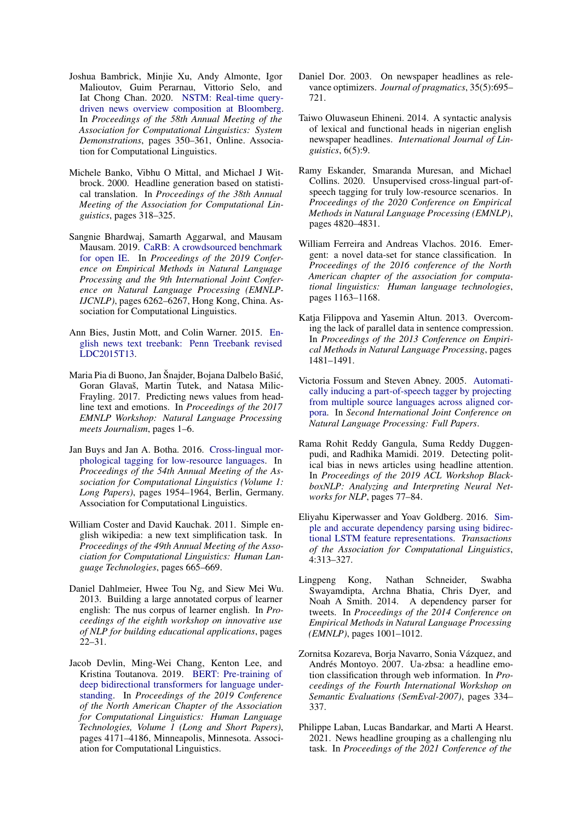- <span id="page-9-0"></span>Joshua Bambrick, Minjie Xu, Andy Almonte, Igor Malioutov, Guim Perarnau, Vittorio Selo, and Iat Chong Chan. 2020. [NSTM: Real-time query](https://doi.org/10.18653/v1/2020.acl-demos.40)[driven news overview composition at Bloomberg.](https://doi.org/10.18653/v1/2020.acl-demos.40) In *Proceedings of the 58th Annual Meeting of the Association for Computational Linguistics: System Demonstrations*, pages 350–361, Online. Association for Computational Linguistics.
- <span id="page-9-15"></span>Michele Banko, Vibhu O Mittal, and Michael J Witbrock. 2000. Headline generation based on statistical translation. In *Proceedings of the 38th Annual Meeting of the Association for Computational Linguistics*, pages 318–325.
- <span id="page-9-13"></span>Sangnie Bhardwaj, Samarth Aggarwal, and Mausam Mausam. 2019. [CaRB: A crowdsourced benchmark](https://doi.org/10.18653/v1/D19-1651) [for open IE.](https://doi.org/10.18653/v1/D19-1651) In *Proceedings of the 2019 Conference on Empirical Methods in Natural Language Processing and the 9th International Joint Conference on Natural Language Processing (EMNLP-IJCNLP)*, pages 6262–6267, Hong Kong, China. Association for Computational Linguistics.
- <span id="page-9-7"></span>Ann Bies, Justin Mott, and Colin Warner. 2015. [En](https://catalog.ldc.upenn.edu/LDC2015T13)[glish news text treebank: Penn Treebank revised](https://catalog.ldc.upenn.edu/LDC2015T13) [LDC2015T13.](https://catalog.ldc.upenn.edu/LDC2015T13)
- <span id="page-9-18"></span>Maria Pia di Buono, Jan Šnajder, Bojana Dalbelo Bašić, Goran Glavaš, Martin Tutek, and Natasa Milic-Frayling. 2017. Predicting news values from headline text and emotions. In *Proceedings of the 2017 EMNLP Workshop: Natural Language Processing meets Journalism*, pages 1–6.
- <span id="page-9-10"></span>Jan Buys and Jan A. Botha. 2016. [Cross-lingual mor](https://doi.org/10.18653/v1/P16-1184)[phological tagging for low-resource languages.](https://doi.org/10.18653/v1/P16-1184) In *Proceedings of the 54th Annual Meeting of the Association for Computational Linguistics (Volume 1: Long Papers)*, pages 1954–1964, Berlin, Germany. Association for Computational Linguistics.
- <span id="page-9-4"></span>William Coster and David Kauchak. 2011. Simple english wikipedia: a new text simplification task. In *Proceedings of the 49th Annual Meeting of the Association for Computational Linguistics: Human Language Technologies*, pages 665–669.
- <span id="page-9-5"></span>Daniel Dahlmeier, Hwee Tou Ng, and Siew Mei Wu. 2013. Building a large annotated corpus of learner english: The nus corpus of learner english. In *Proceedings of the eighth workshop on innovative use of NLP for building educational applications*, pages 22–31.
- <span id="page-9-8"></span>Jacob Devlin, Ming-Wei Chang, Kenton Lee, and Kristina Toutanova. 2019. [BERT: Pre-training of](https://doi.org/10.18653/v1/N19-1423) [deep bidirectional transformers for language under](https://doi.org/10.18653/v1/N19-1423)[standing.](https://doi.org/10.18653/v1/N19-1423) In *Proceedings of the 2019 Conference of the North American Chapter of the Association for Computational Linguistics: Human Language Technologies, Volume 1 (Long and Short Papers)*, pages 4171–4186, Minneapolis, Minnesota. Association for Computational Linguistics.
- <span id="page-9-6"></span>Daniel Dor. 2003. On newspaper headlines as relevance optimizers. *Journal of pragmatics*, 35(5):695– 721.
- <span id="page-9-14"></span>Taiwo Oluwaseun Ehineni. 2014. A syntactic analysis of lexical and functional heads in nigerian english newspaper headlines. *International Journal of Linguistics*, 6(5):9.
- <span id="page-9-11"></span>Ramy Eskander, Smaranda Muresan, and Michael Collins. 2020. Unsupervised cross-lingual part-ofspeech tagging for truly low-resource scenarios. In *Proceedings of the 2020 Conference on Empirical Methods in Natural Language Processing (EMNLP)*, pages 4820–4831.
- <span id="page-9-1"></span>William Ferreira and Andreas Vlachos. 2016. Emergent: a novel data-set for stance classification. In *Proceedings of the 2016 conference of the North American chapter of the association for computational linguistics: Human language technologies*, pages 1163–1168.
- <span id="page-9-3"></span>Katja Filippova and Yasemin Altun. 2013. Overcoming the lack of parallel data in sentence compression. In *Proceedings of the 2013 Conference on Empirical Methods in Natural Language Processing*, pages 1481–1491.
- <span id="page-9-9"></span>Victoria Fossum and Steven Abney. 2005. [Automati](https://doi.org/10.1007/11562214_75)[cally inducing a part-of-speech tagger by projecting](https://doi.org/10.1007/11562214_75) [from multiple source languages across aligned cor](https://doi.org/10.1007/11562214_75)[pora.](https://doi.org/10.1007/11562214_75) In *Second International Joint Conference on Natural Language Processing: Full Papers*.
- <span id="page-9-17"></span>Rama Rohit Reddy Gangula, Suma Reddy Duggenpudi, and Radhika Mamidi. 2019. Detecting political bias in news articles using headline attention. In *Proceedings of the 2019 ACL Workshop BlackboxNLP: Analyzing and Interpreting Neural Networks for NLP*, pages 77–84.
- <span id="page-9-12"></span>Eliyahu Kiperwasser and Yoav Goldberg. 2016. [Sim](https://doi.org/10.1162/tacl_a_00101)[ple and accurate dependency parsing using bidirec](https://doi.org/10.1162/tacl_a_00101)[tional LSTM feature representations.](https://doi.org/10.1162/tacl_a_00101) *Transactions of the Association for Computational Linguistics*, 4:313–327.
- <span id="page-9-19"></span>Lingpeng Kong, Nathan Schneider, Swabha Swayamdipta, Archna Bhatia, Chris Dyer, and Noah A Smith. 2014. A dependency parser for tweets. In *Proceedings of the 2014 Conference on Empirical Methods in Natural Language Processing (EMNLP)*, pages 1001–1012.
- <span id="page-9-16"></span>Zornitsa Kozareva, Borja Navarro, Sonia Vázquez, and Andrés Montoyo. 2007. Ua-zbsa: a headline emotion classification through web information. In *Proceedings of the Fourth International Workshop on Semantic Evaluations (SemEval-2007)*, pages 334– 337.
- <span id="page-9-2"></span>Philippe Laban, Lucas Bandarkar, and Marti A Hearst. 2021. News headline grouping as a challenging nlu task. In *Proceedings of the 2021 Conference of the*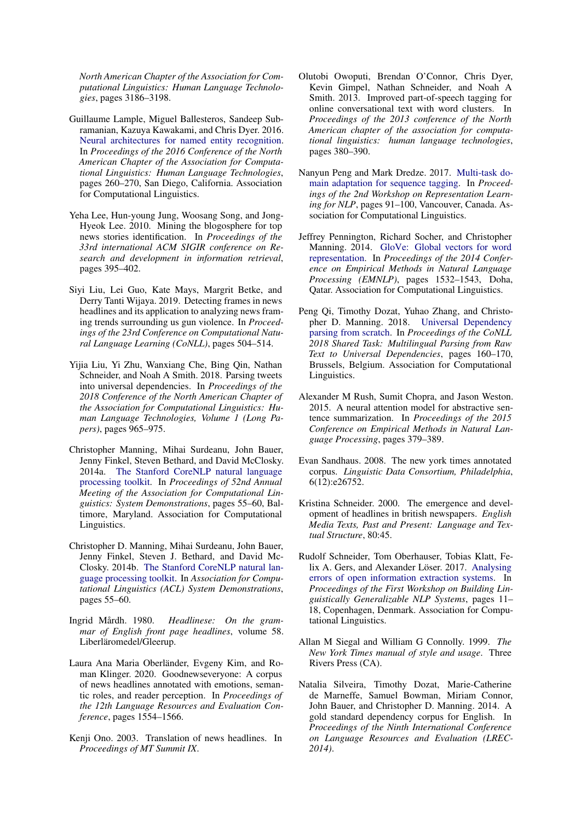*North American Chapter of the Association for Computational Linguistics: Human Language Technologies*, pages 3186–3198.

- <span id="page-10-7"></span>Guillaume Lample, Miguel Ballesteros, Sandeep Subramanian, Kazuya Kawakami, and Chris Dyer. 2016. [Neural architectures for named entity recognition.](https://doi.org/10.18653/v1/N16-1030) In *Proceedings of the 2016 Conference of the North American Chapter of the Association for Computational Linguistics: Human Language Technologies*, pages 260–270, San Diego, California. Association for Computational Linguistics.
- <span id="page-10-1"></span>Yeha Lee, Hun-young Jung, Woosang Song, and Jong-Hyeok Lee. 2010. Mining the blogosphere for top news stories identification. In *Proceedings of the 33rd international ACM SIGIR conference on Research and development in information retrieval*, pages 395–402.
- <span id="page-10-15"></span>Siyi Liu, Lei Guo, Kate Mays, Margrit Betke, and Derry Tanti Wijaya. 2019. Detecting frames in news headlines and its application to analyzing news framing trends surrounding us gun violence. In *Proceedings of the 23rd Conference on Computational Natural Language Learning (CoNLL)*, pages 504–514.
- <span id="page-10-18"></span>Yijia Liu, Yi Zhu, Wanxiang Che, Bing Qin, Nathan Schneider, and Noah A Smith. 2018. Parsing tweets into universal dependencies. In *Proceedings of the 2018 Conference of the North American Chapter of the Association for Computational Linguistics: Human Language Technologies, Volume 1 (Long Papers)*, pages 965–975.
- <span id="page-10-4"></span>Christopher Manning, Mihai Surdeanu, John Bauer, Jenny Finkel, Steven Bethard, and David McClosky. 2014a. [The Stanford CoreNLP natural language](https://doi.org/10.3115/v1/P14-5010) [processing toolkit.](https://doi.org/10.3115/v1/P14-5010) In *Proceedings of 52nd Annual Meeting of the Association for Computational Linguistics: System Demonstrations*, pages 55–60, Baltimore, Maryland. Association for Computational Linguistics.
- <span id="page-10-3"></span>Christopher D. Manning, Mihai Surdeanu, John Bauer, Jenny Finkel, Steven J. Bethard, and David Mc-Closky. 2014b. [The Stanford CoreNLP natural lan](http://www.aclweb.org/anthology/P/P14/P14-5010)[guage processing toolkit.](http://www.aclweb.org/anthology/P/P14/P14-5010) In *Association for Computational Linguistics (ACL) System Demonstrations*, pages 55–60.
- <span id="page-10-0"></span>Ingrid Mårdh. 1980. *Headlinese: On the grammar of English front page headlines*, volume 58. Liberläromedel/Gleerup.
- <span id="page-10-14"></span>Laura Ana Maria Oberländer, Evgeny Kim, and Roman Klinger. 2020. Goodnewseveryone: A corpus of news headlines annotated with emotions, semantic roles, and reader perception. In *Proceedings of the 12th Language Resources and Evaluation Conference*, pages 1554–1566.
- <span id="page-10-16"></span>Kenji Ono. 2003. Translation of news headlines. In *Proceedings of MT Summit IX*.
- <span id="page-10-17"></span>Olutobi Owoputi, Brendan O'Connor, Chris Dyer, Kevin Gimpel, Nathan Schneider, and Noah A Smith. 2013. Improved part-of-speech tagging for online conversational text with word clusters. In *Proceedings of the 2013 conference of the North American chapter of the association for computational linguistics: human language technologies*, pages 380–390.
- <span id="page-10-8"></span>Nanyun Peng and Mark Dredze. 2017. [Multi-task do](https://doi.org/10.18653/v1/W17-2612)[main adaptation for sequence tagging.](https://doi.org/10.18653/v1/W17-2612) In *Proceedings of the 2nd Workshop on Representation Learning for NLP*, pages 91–100, Vancouver, Canada. Association for Computational Linguistics.
- <span id="page-10-6"></span>Jeffrey Pennington, Richard Socher, and Christopher Manning. 2014. [GloVe: Global vectors for word](https://doi.org/10.3115/v1/D14-1162) [representation.](https://doi.org/10.3115/v1/D14-1162) In *Proceedings of the 2014 Conference on Empirical Methods in Natural Language Processing (EMNLP)*, pages 1532–1543, Doha, Qatar. Association for Computational Linguistics.
- <span id="page-10-9"></span>Peng Qi, Timothy Dozat, Yuhao Zhang, and Christopher D. Manning. 2018. [Universal Dependency](https://doi.org/10.18653/v1/K18-2016) [parsing from scratch.](https://doi.org/10.18653/v1/K18-2016) In *Proceedings of the CoNLL 2018 Shared Task: Multilingual Parsing from Raw Text to Universal Dependencies*, pages 160–170, Brussels, Belgium. Association for Computational Linguistics.
- <span id="page-10-13"></span>Alexander M Rush, Sumit Chopra, and Jason Weston. 2015. A neural attention model for abstractive sentence summarization. In *Proceedings of the 2015 Conference on Empirical Methods in Natural Language Processing*, pages 379–389.
- <span id="page-10-5"></span>Evan Sandhaus. 2008. The new york times annotated corpus. *Linguistic Data Consortium, Philadelphia*, 6(12):e26752.
- <span id="page-10-12"></span>Kristina Schneider. 2000. The emergence and development of headlines in british newspapers. *English Media Texts, Past and Present: Language and Textual Structure*, 80:45.
- <span id="page-10-10"></span>Rudolf Schneider, Tom Oberhauser, Tobias Klatt, Fe-lix A. Gers, and Alexander Löser. 2017. [Analysing](https://doi.org/10.18653/v1/W17-5402) [errors of open information extraction systems.](https://doi.org/10.18653/v1/W17-5402) In *Proceedings of the First Workshop on Building Linguistically Generalizable NLP Systems*, pages 11– 18, Copenhagen, Denmark. Association for Computational Linguistics.
- <span id="page-10-11"></span>Allan M Siegal and William G Connolly. 1999. *The New York Times manual of style and usage*. Three Rivers Press (CA).
- <span id="page-10-2"></span>Natalia Silveira, Timothy Dozat, Marie-Catherine de Marneffe, Samuel Bowman, Miriam Connor, John Bauer, and Christopher D. Manning. 2014. A gold standard dependency corpus for English. In *Proceedings of the Ninth International Conference on Language Resources and Evaluation (LREC-2014)*.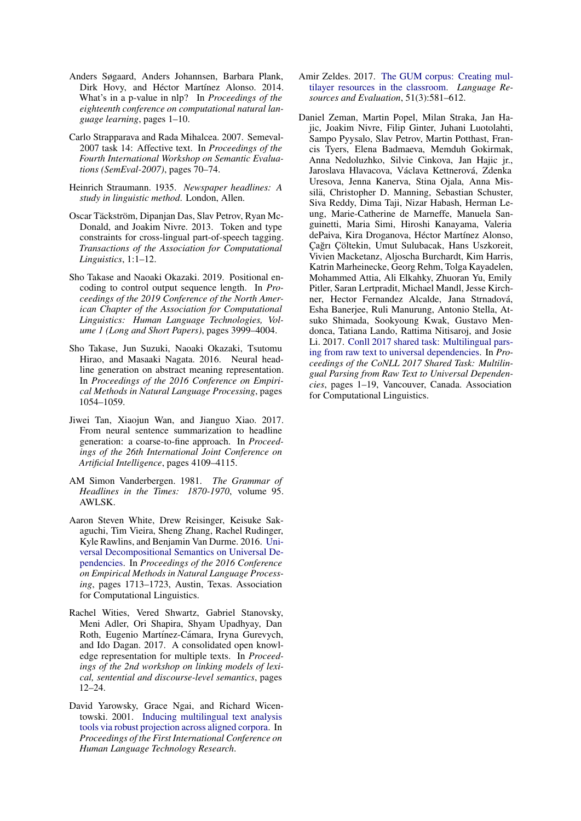- <span id="page-11-8"></span>Anders Søgaard, Anders Johannsen, Barbara Plank, Dirk Hovy, and Héctor Martínez Alonso. 2014. What's in a p-value in nlp? In *Proceedings of the eighteenth conference on computational natural language learning*, pages 1–10.
- <span id="page-11-2"></span>Carlo Strapparava and Rada Mihalcea. 2007. Semeval-2007 task 14: Affective text. In *Proceedings of the Fourth International Workshop on Semantic Evaluations (SemEval-2007)*, pages 70–74.
- <span id="page-11-0"></span>Heinrich Straumann. 1935. *Newspaper headlines: A study in linguistic method*. London, Allen.
- <span id="page-11-7"></span>Oscar Täckström, Dipanjan Das, Slav Petrov, Ryan Mc-Donald, and Joakim Nivre. 2013. Token and type constraints for cross-lingual part-of-speech tagging. *Transactions of the Association for Computational Linguistics*, 1:1–12.
- <span id="page-11-12"></span>Sho Takase and Naoaki Okazaki. 2019. Positional encoding to control output sequence length. In *Proceedings of the 2019 Conference of the North American Chapter of the Association for Computational Linguistics: Human Language Technologies, Volume 1 (Long and Short Papers)*, pages 3999–4004.
- <span id="page-11-10"></span>Sho Takase, Jun Suzuki, Naoaki Okazaki, Tsutomu Hirao, and Masaaki Nagata. 2016. Neural headline generation on abstract meaning representation. In *Proceedings of the 2016 Conference on Empirical Methods in Natural Language Processing*, pages 1054–1059.
- <span id="page-11-11"></span>Jiwei Tan, Xiaojun Wan, and Jianguo Xiao. 2017. From neural sentence summarization to headline generation: a coarse-to-fine approach. In *Proceedings of the 26th International Joint Conference on Artificial Intelligence*, pages 4109–4115.
- <span id="page-11-9"></span>AM Simon Vanderbergen. 1981. *The Grammar of Headlines in the Times: 1870-1970*, volume 95. AWLSK.
- <span id="page-11-1"></span>Aaron Steven White, Drew Reisinger, Keisuke Sakaguchi, Tim Vieira, Sheng Zhang, Rachel Rudinger, Kyle Rawlins, and Benjamin Van Durme. 2016. [Uni](https://aclweb.org/anthology/D16-1177)[versal Decompositional Semantics on Universal De](https://aclweb.org/anthology/D16-1177)[pendencies.](https://aclweb.org/anthology/D16-1177) In *Proceedings of the 2016 Conference on Empirical Methods in Natural Language Processing*, pages 1713–1723, Austin, Texas. Association for Computational Linguistics.
- <span id="page-11-3"></span>Rachel Wities, Vered Shwartz, Gabriel Stanovsky, Meni Adler, Ori Shapira, Shyam Upadhyay, Dan Roth, Eugenio Martínez-Cámara, Iryna Gurevych, and Ido Dagan. 2017. A consolidated open knowledge representation for multiple texts. In *Proceedings of the 2nd workshop on linking models of lexical, sentential and discourse-level semantics*, pages 12–24.
- <span id="page-11-4"></span>David Yarowsky, Grace Ngai, and Richard Wicentowski. 2001. [Inducing multilingual text analysis](https://aclanthology.org/H01-1035) [tools via robust projection across aligned corpora.](https://aclanthology.org/H01-1035) In *Proceedings of the First International Conference on Human Language Technology Research*.
- <span id="page-11-6"></span>Amir Zeldes. 2017. [The GUM corpus: Creating mul](https://doi.org/http://dx.doi.org/10.1007/s10579-016-9343-x)[tilayer resources in the classroom.](https://doi.org/http://dx.doi.org/10.1007/s10579-016-9343-x) *Language Resources and Evaluation*, 51(3):581–612.
- <span id="page-11-5"></span>Daniel Zeman, Martin Popel, Milan Straka, Jan Hajic, Joakim Nivre, Filip Ginter, Juhani Luotolahti, Sampo Pyysalo, Slav Petrov, Martin Potthast, Francis Tyers, Elena Badmaeva, Memduh Gokirmak, Anna Nedoluzhko, Silvie Cinkova, Jan Hajic jr., Jaroslava Hlavacova, Václava Kettnerová, Zdenka Uresova, Jenna Kanerva, Stina Ojala, Anna Missilä, Christopher D. Manning, Sebastian Schuster, Siva Reddy, Dima Taji, Nizar Habash, Herman Leung, Marie-Catherine de Marneffe, Manuela Sanguinetti, Maria Simi, Hiroshi Kanayama, Valeria dePaiva, Kira Droganova, Héctor Martínez Alonso, Çağrı Çöltekin, Umut Sulubacak, Hans Uszkoreit, Vivien Macketanz, Aljoscha Burchardt, Kim Harris, Katrin Marheinecke, Georg Rehm, Tolga Kayadelen, Mohammed Attia, Ali Elkahky, Zhuoran Yu, Emily Pitler, Saran Lertpradit, Michael Mandl, Jesse Kirchner, Hector Fernandez Alcalde, Jana Strnadová, Esha Banerjee, Ruli Manurung, Antonio Stella, Atsuko Shimada, Sookyoung Kwak, Gustavo Mendonca, Tatiana Lando, Rattima Nitisaroj, and Josie Li. 2017. [Conll 2017 shared task: Multilingual pars](http://www.aclweb.org/anthology/K/K17/K17-3001.pdf)[ing from raw text to universal dependencies.](http://www.aclweb.org/anthology/K/K17/K17-3001.pdf) In *Proceedings of the CoNLL 2017 Shared Task: Multilingual Parsing from Raw Text to Universal Dependencies*, pages 1–19, Vancouver, Canada. Association for Computational Linguistics.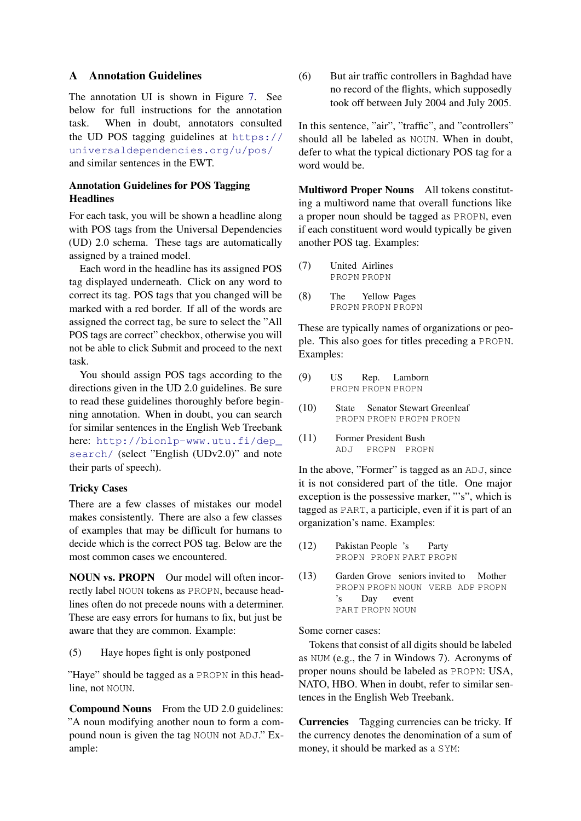## <span id="page-12-0"></span>A Annotation Guidelines

The annotation UI is shown in Figure [7.](#page-13-0) See below for full instructions for the annotation task. When in doubt, annotators consulted the UD POS tagging guidelines at [https://](https://universaldependencies.org/u/pos/) [universaldependencies.org/u/pos/](https://universaldependencies.org/u/pos/) and similar sentences in the EWT.

## Annotation Guidelines for POS Tagging **Headlines**

For each task, you will be shown a headline along with POS tags from the Universal Dependencies (UD) 2.0 schema. These tags are automatically assigned by a trained model.

Each word in the headline has its assigned POS tag displayed underneath. Click on any word to correct its tag. POS tags that you changed will be marked with a red border. If all of the words are assigned the correct tag, be sure to select the "All POS tags are correct" checkbox, otherwise you will not be able to click Submit and proceed to the next task.

You should assign POS tags according to the directions given in the UD 2.0 guidelines. Be sure to read these guidelines thoroughly before beginning annotation. When in doubt, you can search for similar sentences in the English Web Treebank here: [http://bionlp-www.utu.fi/dep\\_](http://bionlp-www.utu.fi/dep_search/) [search/](http://bionlp-www.utu.fi/dep_search/) (select "English (UDv2.0)" and note their parts of speech).

## Tricky Cases

There are a few classes of mistakes our model makes consistently. There are also a few classes of examples that may be difficult for humans to decide which is the correct POS tag. Below are the most common cases we encountered.

NOUN vs. PROPN Our model will often incorrectly label NOUN tokens as PROPN, because headlines often do not precede nouns with a determiner. These are easy errors for humans to fix, but just be aware that they are common. Example:

(5) Haye hopes fight is only postponed

"Haye" should be tagged as a PROPN in this headline, not NOUN.

Compound Nouns From the UD 2.0 guidelines: "A noun modifying another noun to form a compound noun is given the tag NOUN not ADJ." Example:

(6) But air traffic controllers in Baghdad have no record of the flights, which supposedly took off between July 2004 and July 2005.

In this sentence, "air", "traffic", and "controllers" should all be labeled as NOUN. When in doubt, defer to what the typical dictionary POS tag for a word would be.

Multiword Proper Nouns All tokens constituting a multiword name that overall functions like a proper noun should be tagged as PROPN, even if each constituent word would typically be given another POS tag. Examples:

- (7) United Airlines PROPN PROPN
- (8) The PROPN PROPN PROPN Yellow Pages

These are typically names of organizations or people. This also goes for titles preceding a PROPN. Examples:

- (9) US PROPN PROPN PROPN Rep. Lamborn
- (10) State Senator Stewart Greenleaf PROPN PROPN PROPN PROPN
- (11) Former President Bush  $AD.T$ PROPN PROPN

In the above, "Former" is tagged as an ADJ, since it is not considered part of the title. One major exception is the possessive marker, "'s", which is tagged as PART, a participle, even if it is part of an organization's name. Examples:

- (12) Pakistan People 's PROPN PROPN PART PROPN Party
- (13) Garden Grove seniors invited to Mother PROPN PROPN NOUN VERB ADP PROPN 's PART PROPN NOUN Day event

Some corner cases:

Tokens that consist of all digits should be labeled as NUM (e.g., the 7 in Windows 7). Acronyms of proper nouns should be labeled as PROPN: USA, NATO, HBO. When in doubt, refer to similar sentences in the English Web Treebank.

Currencies Tagging currencies can be tricky. If the currency denotes the denomination of a sum of money, it should be marked as a SYM: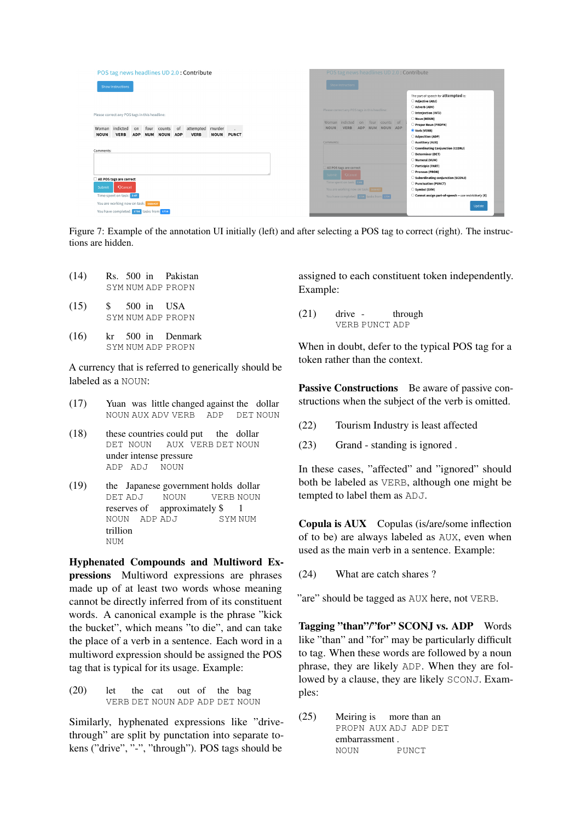<span id="page-13-0"></span>

| POS tag news headlines UD 2.0: Contribute<br><b>Show Instructions</b>                                                                                                                                                    | POS tag news headlines UD 2.0: Contribute<br><b>Show Instructions</b>                                                                                                                                                                                                                                            |  |
|--------------------------------------------------------------------------------------------------------------------------------------------------------------------------------------------------------------------------|------------------------------------------------------------------------------------------------------------------------------------------------------------------------------------------------------------------------------------------------------------------------------------------------------------------|--|
| Please correct any POS tags in this headline:<br>Woman indicted<br>attempted murder<br>of<br>four counts<br>on<br>$\sim$<br><b>NOUN</b><br><b>VERB</b><br><b>ADP</b><br>NUM NOUN ADP<br><b>VERB</b><br><b>NOUN PUNCT</b> | The part-of-speech for attempted is:<br>Adjective (ADJ)<br>Adverb (ADV)<br>Please correct any POS tags in this headline:<br>Interjection (INTJ)<br>Noun (NOUN)<br>Woman indicted on four counts of<br>Proper Noun (PROPN)<br><b>NOUN</b><br><b>VERB</b><br>ADP NUM NOUN ADP<br>Verb (VERB)<br>Adposition (ADP)   |  |
| Comments:                                                                                                                                                                                                                | Auxilliary (AUX)<br>Comments:<br>Coordinating Conjunction (CCONJ)<br>Determiner (DET)<br>Numeral (NUM)<br>Participle (PART)                                                                                                                                                                                      |  |
| All POS tags are correct<br><b>QCancel</b><br>Submit<br>Time spent on task: 247                                                                                                                                          | All POS tags are correct<br>Pronoun (PRON)<br>Cancel<br>Subm<br>Subordinating conjunction (SCONJ)<br>Time spent on task: care<br>Punctuation (PUNCT)<br>You are working now on task: sassar<br>Symbol (SYM)<br>Cannot assign part-of-speech -- use restrictively (X)<br>You have completed: 1723 tasks from 1734 |  |
| You are working now on task: 5686437<br>You have completed: 1734 tasks from 1734                                                                                                                                         | Update                                                                                                                                                                                                                                                                                                           |  |

Figure 7: Example of the annotation UI initially (left) and after selecting a POS tag to correct (right). The instructions are hidden.

| (14) |  | Rs. 500 in Pakistan |
|------|--|---------------------|
|      |  | SYM NUM ADP PROPN   |

- $(15)$  \$ SYM NUM ADP PROPN 500 in USA
- $(16)$ SYM NUM ADP PROPN 500 in Denmark

A currency that is referred to generically should be labeled as a NOUN:

- (17) Yuan was little changed against the dollar NOUN AUX ADV VERB ADP DET NOUN
- (18) these countries could put the dollar DET NOUN AUX VERB DET NOUN under intense pressure ADP ADJ NOUN
- $(19)$ DET ADJ Japanese government holds dollar NOUN VERB NOUN reserves of approximately \$ 1 NOUN ADP ADJ SYM NUM trillion **NITM**

Hyphenated Compounds and Multiword Expressions Multiword expressions are phrases made up of at least two words whose meaning cannot be directly inferred from of its constituent words. A canonical example is the phrase "kick the bucket", which means "to die", and can take the place of a verb in a sentence. Each word in a multiword expression should be assigned the POS tag that is typical for its usage. Example:

 $(20)$  let VERB DET NOUN ADP ADP DET NOUN the cat out of the bag

Similarly, hyphenated expressions like "drivethrough" are split by punctation into separate tokens ("drive", "-", "through"). POS tags should be

assigned to each constituent token independently. Example:

(21) drive - VERB PUNCT ADP through

When in doubt, defer to the typical POS tag for a token rather than the context.

Passive Constructions Be aware of passive constructions when the subject of the verb is omitted.

- (22) Tourism Industry is least affected
- (23) Grand standing is ignored .

In these cases, "affected" and "ignored" should both be labeled as VERB, although one might be tempted to label them as ADJ.

Copula is AUX Copulas (is/are/some inflection of to be) are always labeled as AUX, even when used as the main verb in a sentence. Example:

(24) What are catch shares ?

"are" should be tagged as AUX here, not VERB.

Tagging "than"/"for" SCONJ vs. ADP Words like "than" and "for" may be particularly difficult to tag. When these words are followed by a noun phrase, they are likely ADP. When they are followed by a clause, they are likely SCONJ. Examples:

(25) Meiring is more than an PROPN AUX ADJ ADP DET embarrassment . **NOUN** PUNCT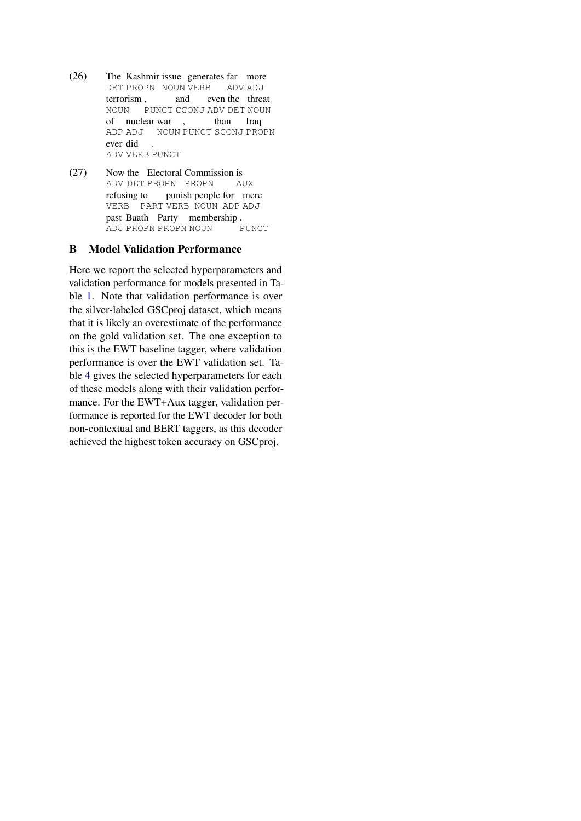- $(26)$ DET PROPN NOUN VERB ADV ADJ Kashmir issue generates far more terrorism , and even the threat NOUN PUNCT CCONJ ADV DET NOUN of nuclear war , than Iraq ADP ADJ NOUN PUNCT SCONJ PROPN ever did ADV VERB PUNCT .
- $(27)$ ADV DET PROPN PROPN the Electoral Commission is AUX refusing to VERB PART VERB NOUN ADP ADJ punish people for mere past Baath Party membership . ADJ PROPN PROPN NOUN PUNCT

## <span id="page-14-0"></span>B Model Validation Performance

Here we report the selected hyperparameters and validation performance for models presented in Table [1.](#page-5-2) Note that validation performance is over the silver-labeled GSCproj dataset, which means that it is likely an overestimate of the performance on the gold validation set. The one exception to this is the EWT baseline tagger, where validation performance is over the EWT validation set. Table [4](#page-15-0) gives the selected hyperparameters for each of these models along with their validation performance. For the EWT+Aux tagger, validation performance is reported for the EWT decoder for both non-contextual and BERT taggers, as this decoder achieved the highest token accuracy on GSCproj.